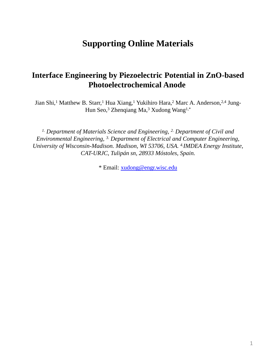## **Supporting Online Materials**

## **Interface Engineering by Piezoelectric Potential in ZnO-based Photoelectrochemical Anode**

Jian Shi,<sup>1</sup> Matthew B. Starr,<sup>1</sup> Hua Xiang,<sup>1</sup> Yukihiro Hara,<sup>2</sup> Marc A. Anderson,<sup>2,4</sup> Jung-Hun Seo,<sup>3</sup> Zhenqiang Ma,<sup>3</sup> Xudong Wang<sup>1,\*</sup>

*1. Department of Materials Science and Engineering, 2. Department of Civil and Environmental Engineering, 3. Department of Electrical and Computer Engineering, University of Wisconsin-Madison. Madison, WI 53706, USA. 4. IMDEA Energy Institute, CAT-URJC, Tulipán sn, 28933 Móstoles, Spain.*

\* Email: [xudong@engr.wisc.edu](mailto:xudong@engr.wisc.edu)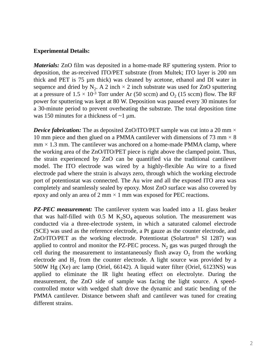## **Experimental Details:**

*Materials:* ZnO film was deposited in a home-made RF sputtering system. Prior to deposition, the as-received ITO/PET substrate (from Multek; ITO layer is 200 nm thick and PET is 75 µm thick) was cleaned by acetone, ethanol and DI water in sequence and dried by  $N_2$ . A 2 inch  $\times$  2 inch substrate was used for ZnO sputtering at a pressure of  $1.5 \times 10^{-3}$  Torr under Ar (50 sccm) and  $O_2$  (15 sccm) flow. The RF power for sputtering was kept at 80 W. Deposition was paused every 30 minutes for a 30-minute period to prevent overheating the substrate. The total deposition time was 150 minutes for a thickness of  $\sim$ 1 µm.

*Device fabrication:* The as deposited ZnO/ITO/PET sample was cut into a 20 mm  $\times$ 10 mm piece and then glued on a PMMA cantilever with dimensions of 73 mm  $\times$  8  $mm \times 1.3 \text{ mm}$ . The cantilever was anchored on a home-made PMMA clamp, where the working area of the ZnO/ITO/PET piece is right above the clamped point. Thus, the strain experienced by ZnO can be quantified via the traditional cantilever model. The ITO electrode was wired by a highly-flexible Au wire to a fixed electrode pad where the strain is always zero, through which the working electrode port of potentiostat was connected. The Au wire and all the exposed ITO area was completely and seamlessly sealed by epoxy. Most ZnO surface was also covered by epoxy and only an area of 2 mm  $\times$  1 mm was exposed for PEC reactions.

*PZ-PEC measurement:* The cantilever system was loaded into a 1L glass beaker that was half-filled with 0.5 M  $K_2SO_4$  aqueous solution. The measurement was conducted via a three-electrode system, in which a saturated calomel electrode (SCE) was used as the reference electrode, a Pt gauze as the counter electrode, and  $ZnO/ITO/PET$  as the working electrode. Potentiostat (Solartron<sup>®</sup> SI 1287) was applied to control and monitor the PZ-PEC process.  $N_2$  gas was purged through the cell during the measurement to instantaneously flush away  $O_2$  from the working electrode and  $H_2$  from the counter electrode. A light source was provided by a 500W Hg (Xe) arc lamp (Oriel, 66142). A liquid water filter (Oriel, 6123NS) was applied to eliminate the IR light heating effect on electrolyte. During the measurement, the ZnO side of sample was facing the light source. A speedcontrolled motor with wedged shaft drove the dynamic and static bending of the PMMA cantilever. Distance between shaft and cantilever was tuned for creating different strains.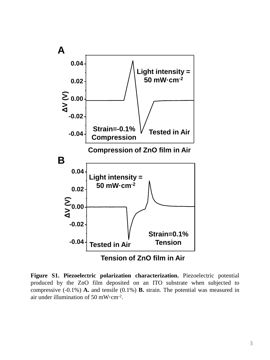

**Figure S1. Piezoelectric polarization characterization.** Piezoelectric potential produced by the ZnO film deposited on an ITO substrate when subjected to compressive (-0.1%) **A.** and tensile (0.1%) **B.** strain. The potential was measured in air under illumination of 50 mW cm<sup>-2</sup>.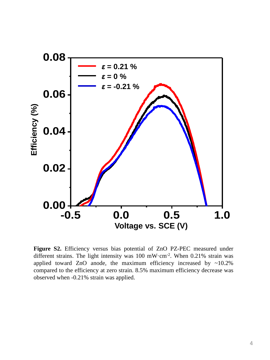

**Figure S2.** Efficiency versus bias potential of ZnO PZ-PEC measured under different strains. The light intensity was 100 mW cm<sup>-2</sup>. When 0.21% strain was applied toward ZnO anode, the maximum efficiency increased by  $\sim$ 10.2% compared to the efficiency at zero strain. 8.5% maximum efficiency decrease was observed when -0.21% strain was applied.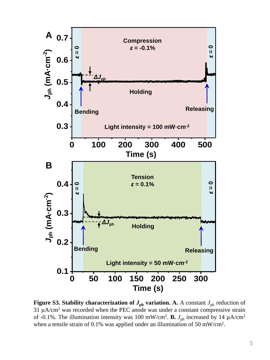

**Figure S3. Stability characterization of**  $J_{\text{ph}}$  **variation. A.** A constant  $J_{\text{ph}}$  reduction of 31 µA/cm<sup>2</sup> was recorded when the PEC anode was under a constant compressive strain of -0.1%. The illumination intensity was 100 mW/cm<sup>2</sup>. **B.**  $J_{ph}$  increased by 14  $\mu$ A/cm<sup>2</sup> when a tensile strain of 0.1% was applied under an illumination of 50 mW/cm<sup>2</sup>.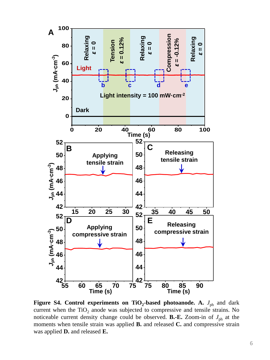

**Figure S4. Control experiments on TiO<sup>2</sup> -based photoanode. A.** *J*ph and dark current when the  $TiO<sub>2</sub>$  anode was subjected to compressive and tensile strains. No noticeable current density change could be observed. **B.-E.** Zoom-in of  $J_{ph}$  at the moments when tensile strain was applied **B.** and released **C.** and compressive strain was applied **D.** and released **E.**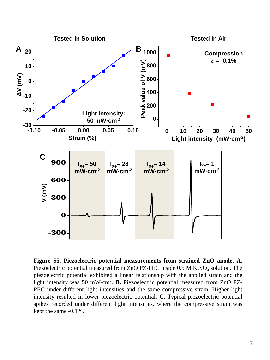

**Figure S5. Piezoelectric potential measurements from strained ZnO anode. A.** Piezoelectric potential measured from ZnO PZ-PEC inside  $0.5$  M  $K_2SO_4$  solution. The piezoelectric potential exhibited a linear relationship with the applied strain and the light intensity was 50 mW/cm<sup>2</sup> . **B.** Piezoelectric potential measured from ZnO PZ-PEC under different light intensities and the same compressive strain. Higher light intensity resulted in lower piezoelectric potential. **C.** Typical piezoelectric potential spikes recorded under different light intensities, where the compressive strain was kept the same -0.1%.